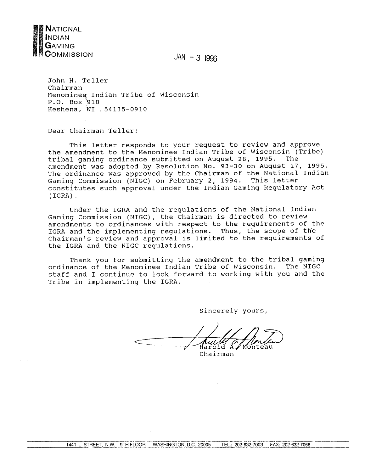

 $JAN - 3$  1996

John H. Teller Chairman Menominee Indian Tribe of Wisconsin<br>P.O. Box 910 Keshena, WI . 54135-0910

Dear Chairman Teller:

This letter responds to your request to review and approve the amendment to the Menominee Indian Tribe of Wisconsin (Tribe) tribal gaming ordinance submitted on August 28, 1995. The amendment was adopted by Resolution No. 93-30 on August 17, 1995. The ordinance was approved by the Chairman of the National Indian Gaming Commission (NIGC) on February 2, 1994. This letter constitutes such approval under the Indian Gaming Regulatory Act  $(IGRA)$ .

Under the IGRA and the regulations of the National Indian Gaming Commission (NIGC), the Chairman is directed to review amendments to ordinances with respect to the requirements of the IGRA and the implementing regulations. Thus, the scope of the Chairman's review and approval is limited to the requirements of the IGRA and the NIGC regulations.

Thank you for submitting the amendment to the tribal gaming ordinance of the Menominee Indian Tribe of Wisconsin. The NIGC staff and I continue to look forward to working with you and the Tribe in implementing the IGRA.

Sincerely yours,

*Aully V*<br>Harold A. Monteau

Chairman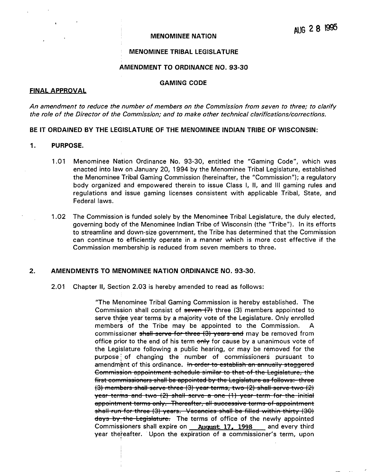#### **MENOMINEE NATION**

### **MENOMINEE TRIBAL LEGISLATURE**

## **AMENDMENT TO ORDINANCE NO. 93-30**

# **GAMING CODE**

# **FINAL APPROVAL**

**An amendment to reduce the number of members on the Commission from seven to three; to clarify the role of the Director of the Commission; and to make other technical clarifications/corrections.**

#### **BE IT ORDAINED BY THE LEGISLATURE OF THE MENOMINEE INDIAN TRIBE OF WISCONSIN:**

- **1. PURPOSE.**
	- **<sup>1</sup> .01 Menominee Nation Ordinance No. 93-30, entitled the Gaming Code, which was enacted into law on January 20, <sup>1</sup> 994 by the Menominee Tribal Legislature, established the Menominee Tribal Gaming Commission (hereinafter, the Commission); <sup>a</sup> regulatory body organized and empowered therein to issue Class I, II, and Ill gaming rules and regulations and issue gaming licenses consistent with applicable Tribal, State, and Federal laws.**
	- **<sup>1</sup> .02 The Commission is funded solely by the Menominee Tribal Legislature, the duly elected, governing body of the Menominee Indian Tribe of Wisconsin (the Tribe). In its efforts to streamline and down-size government, the Tribe has determined that the Commission can continue to efficiently operate in <sup>a</sup> manner which is more cost effective if the Commission membership is reduced from seven members to three.**

#### **2. AMENDMENTS TO MENOMINEE NATION ORDINANCE NO. 93-30.**

**2.01 Chapter II, Section 2.03 is hereby amended to read as follows:**

**The Menominee Tribal Gaming Commission is hereby established. The Commission shall consist of seven (7) three (3): members appointed to serve** three year terms by a majority vote of the Legislature. Only enrolled **members of the Tribe may be appointed to the Commission. A commissioner shall serve for three (3) years and may be removed from office** prior to the end of his term  $\theta$  **end** for cause by a unanimous vote of **the Legislature following <sup>a</sup> public hearing, or may be removed for the purpose of changing the number of commissioners pürsüant to amendment of this ordinance. In order to establish an annually staggered Commission appointment schedule similar to that of the Legislature, the first commi3sioner3 shall be appointed by the Legislature as follows: three (3) members shall serve three (3) year terms, two (2) shall serve two (2) year terms end two (2) shall serve <sup>a</sup> one (1) year term for the initial appointment tcrm3 only. Thereafter, all successive terms of appointment shall run for three (3) years. Vacancies shall be filled within thirty (30) doy3 by, the Legislature. The terms of office of the newly appointed Commissioners shall expire on Auqust 17, 1998 and every third year** thereafter. Upon the expiration of a commissioner's term, upon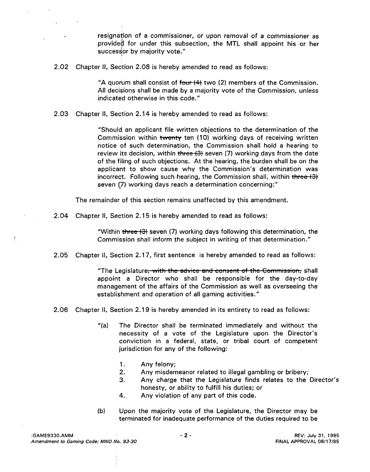**resignation of <sup>a</sup> commissioner, or upon removal of a commissioner as providea for under this subsection, the MTL shall appoint his or her** successor by majority vote."

**2.02 Chapter II, Section 2.08 is hereby amended to read as follows:**

**A quorum shall consist of four (4 two (2) members of the Commission. Alt decisions shall be made by <sup>a</sup> majority vote of the Commission, unless indicated otherwise in this code.**

**2.03 Chapter II, Section 2.14 is hereby amended to read as follows:**

**Should an applicant file written objections to the determination of the Commission within twenty ten (10) working days of receiving written notice of such determination, the Commission shall hold <sup>a</sup> hearing to review its decision, within three (3 seven (7) working days from the date of the filing of such objections. At the hearing, the burden shall be on the** applicant to show cause why the Commission's determination was **incorrect. Following such hearing, the Commission shall, within three (3 seven ~7) working days reach <sup>a</sup> determination concerning:**

**The remainder of this section remains unaffected by this amendment.**

**2.04 Chapter II, Section 2.1 <sup>5</sup> is hereby amended to read as follows:**

**Within three (3 seven (7) working days following this determination, the Commission shall inform the subject in writing of that determination.**

**2.05 Chapter II, Section 2.17, first sentence is hereby amended to read as follows:**

**The Legislature, with the advice and con3ent of thc Commission shall appoint <sup>a</sup> Director who shall be responsible for the day-to-day management of the affairs of the Commission as well as overseeing the establishment and operation of all gaming activities.**

- **2.06 Chapter Il, Section 2.19 is hereby amended in its entirety to read as follows:**
	- **(a) The Director shall be terminated immediately and without the necessity of <sup>a</sup> vote of the Legislature upon the Directors conviction in a federal, state, or tribal court of competent jurisdiction for any of the following:**
		- **1. Any felony;**
		- **2. Any misdemeanor related to illegal gambling or bribery;**
		- **3.** Any charge that the Legislature finds relates to the Director's **honesty, or ability to fulfill his duties; or**
		- **4. Any violation of any part of this code.**
	- **(b) Upon the majority vote of the Legislature, the Director may be terminated for inadequate performance of the duties required to be**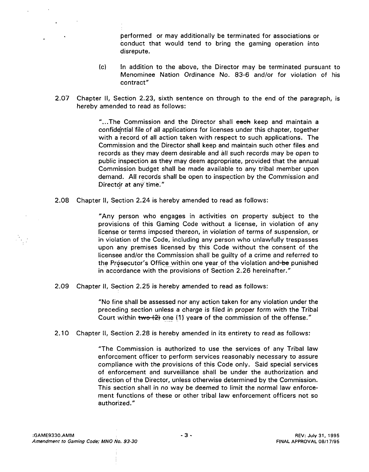**performed or may additionally be terminated for associations or conduct that would tend to bring the gaming operation into disrepute.**

- **(c) In addition to the above, the Director may be terminated pursuant to Menominee Nation Ordinance No. 83-6 and/or for violation of his contract**
- **2.07 Chapter II, Section 2.23, sixth sentence on through to the end of the paragraph, is hereby amended to read as follows:**

**...The Commission and the Director shall each keep and maintain <sup>a</sup> confid~htiàl file of all applications for licenses under this chapter, together with <sup>a</sup> record of all action taken with respect to such applications. The Commission and the Director shall keep and maintain such other files and records as they may deem desirable and all such records may be open to public inspection as they may deem appropriate, provided that the annual Commission budget shall be made available to any tribal member upon demand. All records shall be open to inspection by the Commission and Director** at any time."

**2.08 Chapter II, Section 2.24 is hereby amended to read as follows:**

**Any person who engages in activities on property subject to the provisions of this Gaming Code without <sup>a</sup> license, in violation of any license or terms imposed thereon, in violation of terms of suspension, or in violation of the Code, including any person who unlawfully trespasses upon any premises licensed by this Code without the consent of the licensee and/or the Commission shall be guilty of a crime and referred to the Prosecutor's Office within one year of the violation and be punished in accordance with the provisions of Section 2.26 hereinafter.**

**2.09 Chapter ii, Section 2.25 is hereby amended to read as follows:**

**No fine shall be assessed nor any action taken for any violation under the preceding section unless a charge is filed in proper form with the Tribal Court within two (2 one (1) yeare of the commission of the offense.**

**2.10 Chapter II, Section 2.28 is hereby amended in its entirety to read as follows:**

**The Commission is authorized to use the services of any Tribal law enforcement officer to perform services reasonably necessary to assure compliance with the provisions of this Code only. Said special services of enforcement and surveillance shall be under the authorization and direction of the Director, unless otherwise determined by the Commission. This section shall in no way be deemed to limit the normal law enforce ment functions of these or other tribal law enforcement officers not so authorized.**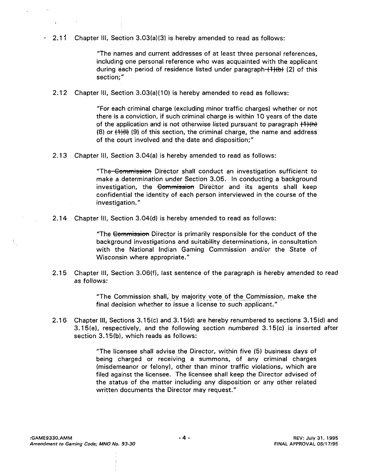**2.11 Chapter III, Section 3.03(a)(3) is hereby amended to read as follows:**

**The names and current addresses of at least three personal references, including one personal reference who was acquainted with the applicant during each period of residence listed under paragraph (1}(b (2) of this section;**

**2.12 Chapter III, Section 3.03(a)(10) is hereby amended to read as follows:**

**For each criminal charge (excluding minor traffic charges) whether or not there is <sup>a</sup> conviction, if such criminal charge is within 10 years of the date of the application and is not otherwise listed pursuant to paragraph ( (8) or ~1)(l (9), of this section, the criminal charge, the name and address of the court involved and the date and disposition;**

**2.13 Chapter III, Section 3.04(a) is hereby amended to read as follows:**

**The Commi3sion Director shall conduct an investigation sufficient to make <sup>a</sup> determination under Section 3.05. In conducting <sup>a</sup> background investigation, the Commission Director and its agents shall keep confidential the identity of each person interviewed in the course of the investigation.**

**2.14 Chapter III, Section 3.04(d) is hereby amended to read as follows:**

**The Commi3siofi Director is primarily responsible for the conduct of the background investigations and suitability determinations, in consultation with the National Indian Gaming Commission and/or the State of Wisconsin where appropriate.**

**2.15 Chapter Ill, Section 3.06(f), last sentence of the paragraph is hereby amended to read as follows:**

> **The Commission shall, by majority vote Of the COmmission, make the final decision whether to issue <sup>a</sup> license to such applicant.**

**2.1 6 Chapter III, Sections 3.1 5(c) and 3.1 5(d) are hereby renumbered to sections 3.1 5(d) and 3.15(e), respectively, and the following section numbered 3.15(c) is inserted after section 3.15(b), which reads as follows:**

> **The licensee shall advise the Director, within five (5) business days of being charged or receiving a summons, of any criminal charges (misdemeanor or felony), other than minor traffic violations, which are filed against the licensee. The licensee shall keep the Director advised of the status of the matter including any disposition or any other related written documents the Director may request.**